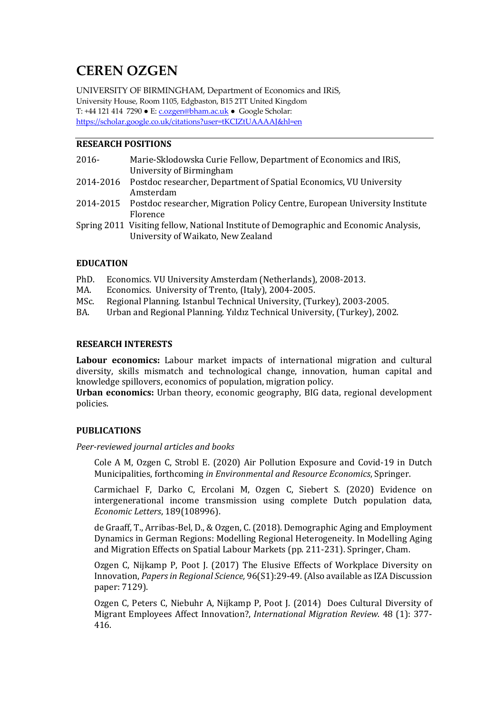# **CEREN OZGEN**

UNIVERSITY OF BIRMINGHAM, Department of Economics and IRiS, University House, Room 1105, Edgbaston, B15 2TT United Kingdom T: +44 121 414 7290 ● E: c.ozgen@bham.ac.uk ● Google Scholar: https://scholar.google.co.uk/citations?user=tKCIZtUAAAAJ&hl=en

# **RESEARCH POSITIONS**

| $2016 -$ | Marie-Sklodowska Curie Fellow, Department of Economics and IRIS,                      |
|----------|---------------------------------------------------------------------------------------|
|          | University of Birmingham                                                              |
|          | 2014-2016 Postdoc researcher, Department of Spatial Economics, VU University          |
|          | Amsterdam                                                                             |
|          | 2014-2015 Postdoc researcher, Migration Policy Centre, European University Institute  |
|          | Florence                                                                              |
|          | Spring 2011 Visiting fellow, National Institute of Demographic and Economic Analysis, |

### **EDUCATION**

- PhD. Economics. VU University Amsterdam (Netherlands), 2008-2013.
- MA. Economics. University of Trento, (Italy), 2004-2005.

University of Waikato, New Zealand

- MSc. Regional Planning. Istanbul Technical University, (Turkey), 2003-2005.
- BA. Urban and Regional Planning. Yildiz Technical University, (Turkey), 2002.

#### **RESEARCH INTERESTS**

Labour economics: Labour market impacts of international migration and cultural diversity, skills mismatch and technological change, innovation, human capital and knowledge spillovers, economics of population, migration policy.

**Urban economics:** Urban theory, economic geography, BIG data, regional development policies. 

#### **PUBLICATIONS**

*Peer-reviewed journal articles and books*

Cole A M, Ozgen C, Strobl E. (2020) Air Pollution Exposure and Covid-19 in Dutch Municipalities, forthcoming *in Environmental and Resource Economics*, Springer.

Carmichael F, Darko C, Ercolani M, Ozgen C, Siebert S. (2020) Evidence on intergenerational income transmission using complete Dutch population data, *Economic Letters*, 189(108996).

de Graaff, T., Arribas-Bel, D., & Ozgen, C. (2018). Demographic Aging and Employment Dynamics in German Regions: Modelling Regional Heterogeneity. In Modelling Aging and Migration Effects on Spatial Labour Markets (pp. 211-231). Springer, Cham.

Ozgen C, Nijkamp P, Poot J, (2017) The Elusive Effects of Workplace Diversity on Innovation, *Papers in Regional Science*,  $96(S1)$ :29-49. (Also available as IZA Discussion paper: 7129). 

Ozgen C, Peters C, Niebuhr A, Nijkamp P, Poot J. (2014) Does Cultural Diversity of Migrant Employees Affect Innovation?, *International Migration Review*. 48 (1): 377-416.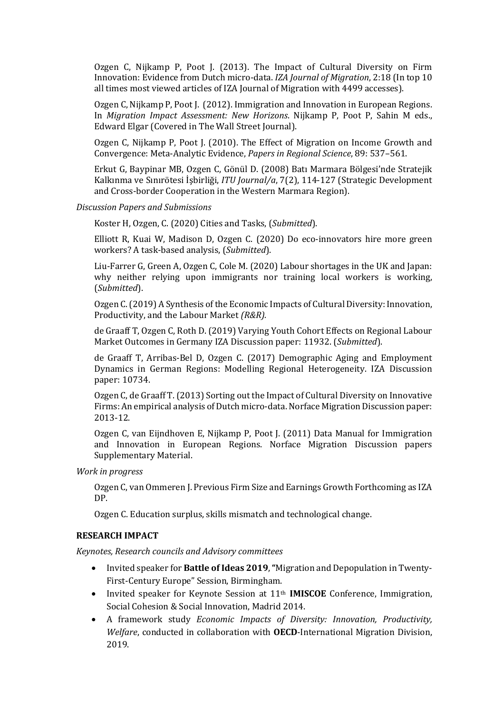Ozgen C, Nijkamp P, Poot J. (2013). The Impact of Cultural Diversity on Firm Innovation: Evidence from Dutch micro-data. *IZA Journal of Migration*, 2:18 (In top 10 all times most viewed articles of IZA Journal of Migration with 4499 accesses).

Ozgen C, Nijkamp P, Poot J. (2012). Immigration and Innovation in European Regions. In *Migration Impact Assessment: New Horizons*. Nijkamp P, Poot P, Sahin M eds., Edward Elgar (Covered in The Wall Street Journal).

Ozgen C, Nijkamp P, Poot J. (2010). The Effect of Migration on Income Growth and Convergence: Meta-Analytic Evidence, *Papers in Regional Science*, 89: 537–561.

Erkut G, Baypinar MB, Ozgen C, Gönül D. (2008) Batı Marmara Bölgesi'nde Stratejik Kalkınma ve Sınırötesi İşbirliği, *ITU Journal/a*, 7(2), 114-127 (Strategic Development and Cross-border Cooperation in the Western Marmara Region).

*Discussion Papers and Submissions*

Koster H, Ozgen, C. (2020) Cities and Tasks, (*Submitted*).

Elliott R, Kuai W, Madison D, Ozgen C.  $(2020)$  Do eco-innovators hire more green workers? A task-based analysis, (*Submitted*).

Liu-Farrer G, Green A, Ozgen C, Cole M. (2020) Labour shortages in the UK and Japan: why neither relying upon immigrants nor training local workers is working, (*Submitted*).

Ozgen C. (2019) A Synthesis of the Economic Impacts of Cultural Diversity: Innovation, Productivity, and the Labour Market *(R&R)*.

de Graaff T, Ozgen C, Roth D. (2019) Varying Youth Cohort Effects on Regional Labour Market Outcomes in Germany IZA Discussion paper: 11932. (*Submitted*).

de Graaff T, Arribas-Bel D, Ozgen C. (2017) Demographic Aging and Employment Dynamics in German Regions: Modelling Regional Heterogeneity. IZA Discussion paper: 10734.

Ozgen C, de Graaff T. (2013) Sorting out the Impact of Cultural Diversity on Innovative Firms: An empirical analysis of Dutch micro-data. Norface Migration Discussion paper: 2013-12. 

Ozgen C, van Eijndhoven E, Nijkamp P, Poot J. (2011) Data Manual for Immigration and Innovation in European Regions. Norface Migration Discussion papers Supplementary Material.

*Work in progress*

Ozgen C, van Ommeren J. Previous Firm Size and Earnings Growth Forthcoming as IZA DP.

Ozgen C. Education surplus, skills mismatch and technological change.

#### **RESEARCH IMPACT**

*Keynotes, Research councils and Advisory committees*

- Invited speaker for **Battle of Ideas 2019**, "Migration and Depopulation in Twenty-First-Century Europe" Session, Birmingham.
- Invited speaker for Keynote Session at 11<sup>th</sup> **IMISCOE** Conference, Immigration, Social Cohesion & Social Innovation, Madrid 2014.
- A framework study *Economic Impacts of Diversity: Innovation, Productivity, Welfare*, conducted in collaboration with **OECD**-International Migration Division, 2019.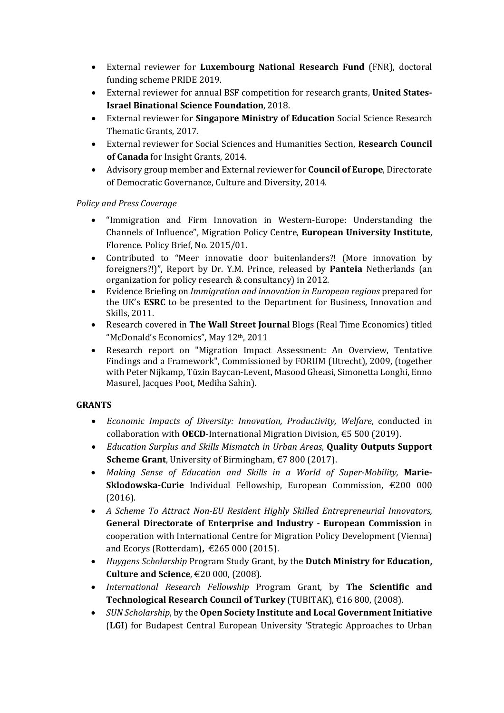- External reviewer for **Luxembourg National Research Fund** (FNR), doctoral funding scheme PRIDE 2019.
- **External reviewer for annual BSF competition for research grants, United States-Israel Binational Science Foundation, 2018.**
- External reviewer for **Singapore Ministry of Education** Social Science Research Thematic Grants, 2017.
- External reviewer for Social Sciences and Humanities Section, **Research Council** of Canada for Insight Grants, 2014.
- Advisory group member and External reviewer for **Council of Europe**, Directorate of Democratic Governance, Culture and Diversity, 2014.

# *Policy and Press Coverage*

- "Immigration and Firm Innovation in Western-Europe: Understanding the Channels of Influence", Migration Policy Centre, **European University Institute**, Florence. Policy Brief, No. 2015/01.
- Contributed to "Meer innovatie door buitenlanders?! (More innovation by foreigners?!)", Report by Dr. Y.M. Prince, released by **Panteia** Netherlands (an organization for policy research & consultancy) in 2012.
- Evidence Briefing on *Immigration and innovation in European regions* prepared for the UK's **ESRC** to be presented to the Department for Business, Innovation and Skills, 2011.
- Research covered in The Wall Street Journal Blogs (Real Time Economics) titled "McDonald's Economics", May 12th, 2011
- Research report on "Migration Impact Assessment: An Overview, Tentative Findings and a Framework", Commissioned by FORUM (Utrecht), 2009, (together with Peter Nijkamp, Tüzin Baycan-Levent, Masood Gheasi, Simonetta Longhi, Enno Masurel, Jacques Poot, Mediha Sahin).

# **GRANTS**

- *Economic Impacts of Diversity: Innovation, Productivity, Welfare*, conducted in collaboration with **OECD**-International Migration Division, €5 500 (2019).
- *Education Surplus and Skills Mismatch in Urban Areas*, **Quality Outputs Support Scheme Grant**, University of Birmingham, €7 800 (2017).
- Making Sense of Education and Skills in a World of Super-Mobility. Marie-**Sklodowska-Curie** Individual Fellowship, European Commission, €200 000 (2016).
- *A Scheme To Attract Non-EU Resident Highly Skilled Entrepreneurial Innovators,* **General Directorate of Enterprise and Industry - European Commission** in cooperation with International Centre for Migration Policy Development (Vienna) and Ecorys (Rotterdam), €265 000 (2015).
- *Huygens Scholarship* Program Study Grant, by the **Dutch Ministry for Education**, **Culture and Science**, €20 000, (2008).
- *International Research Fellowship* Program Grant, by **The Scientific and**  Technological Research Council of Turkey (TUBITAK), €16 800, (2008).
- *SUN Scholarship*, by the **Open Society Institute and Local Government Initiative (LGI)** for Budapest Central European University 'Strategic Approaches to Urban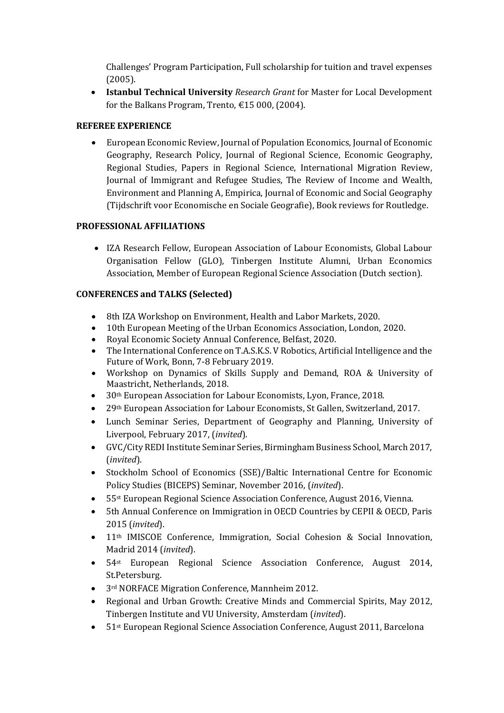Challenges' Program Participation, Full scholarship for tuition and travel expenses (2005).

• **Istanbul Technical University** *Research Grant* for Master for Local Development for the Balkans Program, Trento,  $£15000$ , (2004).

# **REFEREE EXPERIENCE**

• European Economic Review, Journal of Population Economics, Journal of Economic Geography, Research Policy, Journal of Regional Science, Economic Geography, Regional Studies, Papers in Regional Science, International Migration Review, Journal of Immigrant and Refugee Studies, The Review of Income and Wealth, Environment and Planning A, Empirica, Journal of Economic and Social Geography (Tijdschrift voor Economische en Sociale Geografie), Book reviews for Routledge.

# **PROFESSIONAL AFFILIATIONS**

• IZA Research Fellow, European Association of Labour Economists, Global Labour Organisation Fellow (GLO), Tinbergen Institute Alumni, Urban Economics Association, Member of European Regional Science Association (Dutch section).

# **CONFERENCES and TALKS (Selected)**

- 8th IZA Workshop on Environment, Health and Labor Markets, 2020.
- 10th European Meeting of the Urban Economics Association, London, 2020.
- Royal Economic Society Annual Conference, Belfast, 2020.
- The International Conference on T.A.S.K.S. V Robotics, Artificial Intelligence and the Future of Work, Bonn, 7-8 February 2019.
- Workshop on Dynamics of Skills Supply and Demand, ROA & University of Maastricht, Netherlands, 2018.
- 30<sup>th</sup> European Association for Labour Economists, Lyon, France, 2018.
- 29<sup>th</sup> European Association for Labour Economists, St Gallen, Switzerland, 2017.
- Lunch Seminar Series, Department of Geography and Planning, University of Liverpool, February 2017, *(invited)*.
- GVC/City REDI Institute Seminar Series, Birmingham Business School, March 2017, (*invited*).
- Stockholm School of Economics (SSE)/Baltic International Centre for Economic Policy Studies (BICEPS) Seminar, November 2016, (invited).
- 55<sup>st</sup> European Regional Science Association Conference, August 2016, Vienna.
- 5th Annual Conference on Immigration in OECD Countries by CEPII & OECD, Paris 2015 (*invited*).
- 11<sup>th</sup> IMISCOE Conference, Immigration, Social Cohesion & Social Innovation, Madrid 2014 (*invited*).
- 54<sup>st</sup> European Regional Science Association Conference, August 2014, St.Petersburg.
- 3<sup>rd</sup> NORFACE Migration Conference, Mannheim 2012.
- Regional and Urban Growth: Creative Minds and Commercial Spirits, May 2012, Tinbergen Institute and VU University, Amsterdam (*invited*).
- 51st European Regional Science Association Conference, August 2011, Barcelona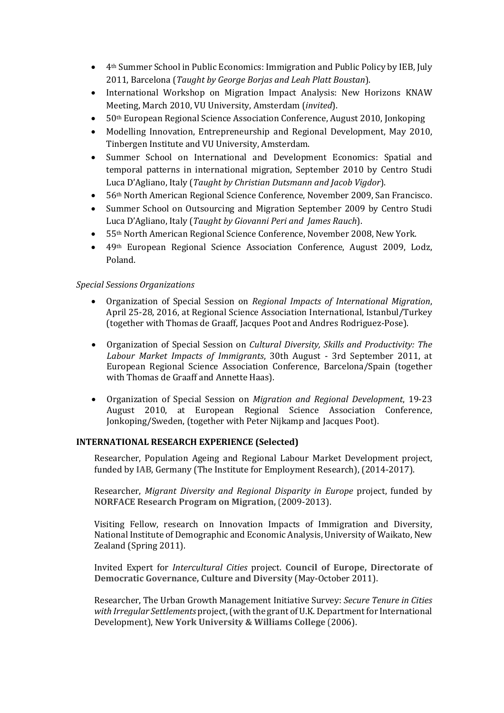- 4<sup>th</sup> Summer School in Public Economics: Immigration and Public Policy by IEB, July 2011, Barcelona (*Taught by George Borjas and Leah Platt Boustan*).
- International Workshop on Migration Impact Analysis: New Horizons KNAW Meeting, March 2010, VU University, Amsterdam (invited).
- $50<sup>th</sup>$  European Regional Science Association Conference, August 2010, Jonkoping
- Modelling Innovation, Entrepreneurship and Regional Development, May 2010, Tinbergen Institute and VU University, Amsterdam.
- Summer School on International and Development Economics: Spatial and temporal patterns in international migration, September 2010 by Centro Studi Luca D'Agliano, Italy (*Taught by Christian Dutsmann and Jacob Vigdor*).
- 56<sup>th</sup> North American Regional Science Conference, November 2009, San Francisco.
- Summer School on Outsourcing and Migration September 2009 by Centro Studi Luca D'Agliano, Italy (*Taught by Giovanni Peri and James Rauch*).
- 55<sup>th</sup> North American Regional Science Conference, November 2008, New York.
- 49th European Regional Science Association Conference, August 2009, Lodz, Poland.

### *Special Sessions Organizations*

- Organization of Special Session on *Regional Impacts of International Migration*, April 25-28, 2016, at Regional Science Association International, Istanbul/Turkey (together with Thomas de Graaff, Jacques Poot and Andres Rodriguez-Pose).
- Organization of Special Session on *Cultural Diversity, Skills and Productivity: The* Labour Market Impacts of Immigrants, 30th August - 3rd September 2011, at European Regional Science Association Conference, Barcelona/Spain (together with Thomas de Graaff and Annette Haas).
- Organization of Special Session on *Migration and Regional Development*, 19-23 August 2010, at European Regional Science Association Conference, Jonkoping/Sweden, (together with Peter Nijkamp and Jacques Poot).

## **INTERNATIONAL RESEARCH EXPERIENCE (Selected)**

Researcher, Population Ageing and Regional Labour Market Development project, funded by IAB, Germany (The Institute for Employment Research), (2014-2017).

Researcher, *Migrant Diversity and Regional Disparity in Europe* project, funded by **NORFACE Research Program on Migration,** (2009-2013).

Visiting Fellow, research on Innovation Impacts of Immigration and Diversity, National Institute of Demographic and Economic Analysis, University of Waikato, New Zealand (Spring 2011).

Invited Expert for *Intercultural Cities* project. **Council of Europe, Directorate of Democratic Governance, Culture and Diversity (May-October 2011).** 

Researcher, The Urban Growth Management Initiative Survey: *Secure Tenure in Cities* with Irregular Settlements project, (with the grant of U.K. Department for International Development), New York University & Williams College (2006).